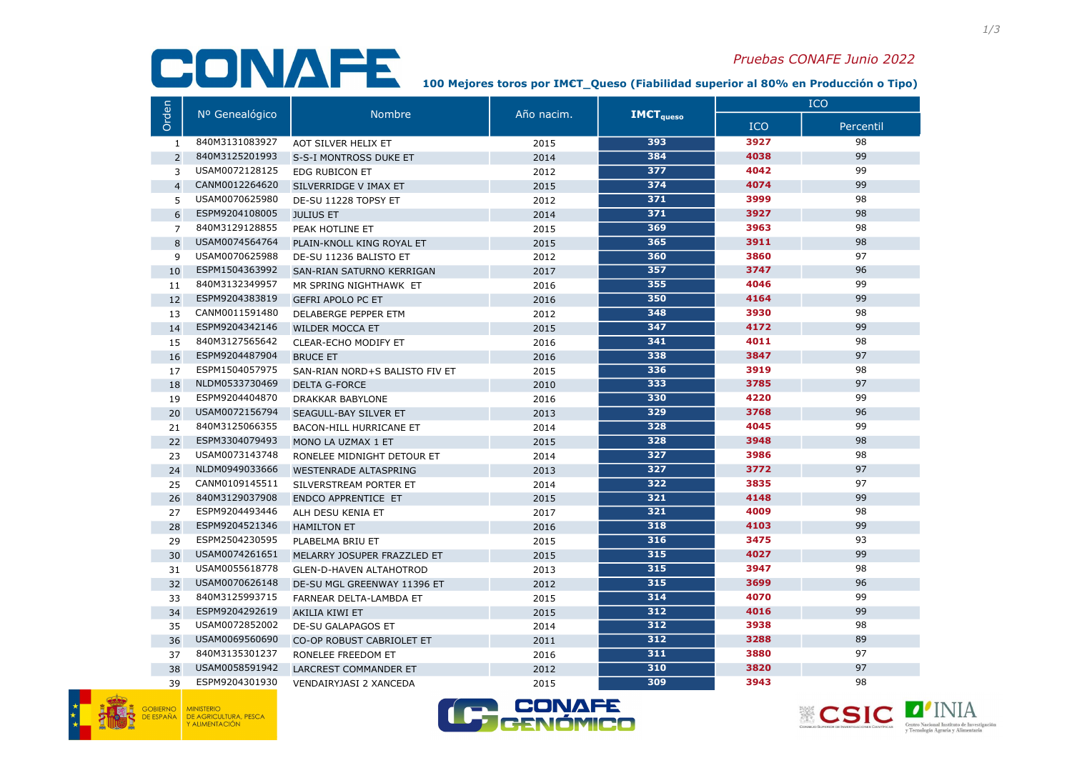100 Mejores toros por IM€T\_Queso (Fiabilidad superior al 80% en Producción o Tipo)

|                | Nº Genealógico | <b>Nombre</b>                  | Año nacim. | <b>IMCT</b> <sub>queso</sub> | <b>ICO</b> |           |
|----------------|----------------|--------------------------------|------------|------------------------------|------------|-----------|
| Orden          |                |                                |            |                              | <b>ICO</b> | Percentil |
| 1              | 840M3131083927 | AOT SILVER HELIX ET            | 2015       | 393                          | 3927       | 98        |
| $\overline{2}$ | 840M3125201993 | S-S-I MONTROSS DUKE ET         | 2014       | 384                          | 4038       | 99        |
| 3              | USAM0072128125 | <b>EDG RUBICON ET</b>          | 2012       | 377                          | 4042       | 99        |
| $\overline{4}$ | CANM0012264620 | SILVERRIDGE V IMAX ET          | 2015       | 374                          | 4074       | 99        |
| 5              | USAM0070625980 | DE-SU 11228 TOPSY ET           | 2012       | 371                          | 3999       | 98        |
| 6              | ESPM9204108005 | <b>JULIUS ET</b>               | 2014       | 371                          | 3927       | 98        |
| $\overline{7}$ | 840M3129128855 | PEAK HOTLINE ET                | 2015       | 369                          | 3963       | 98        |
| 8              | USAM0074564764 | PLAIN-KNOLL KING ROYAL ET      | 2015       | 365                          | 3911       | 98        |
| 9              | USAM0070625988 | DE-SU 11236 BALISTO ET         | 2012       | 360                          | 3860       | 97        |
| 10             | ESPM1504363992 | SAN-RIAN SATURNO KERRIGAN      | 2017       | 357                          | 3747       | 96        |
| 11             | 840M3132349957 | MR SPRING NIGHTHAWK ET         | 2016       | 355                          | 4046       | 99        |
| 12             | ESPM9204383819 | <b>GEFRI APOLO PC ET</b>       | 2016       | 350                          | 4164       | 99        |
| 13             | CANM0011591480 | DELABERGE PEPPER ETM           | 2012       | 348                          | 3930       | 98        |
| 14             | ESPM9204342146 | <b>WILDER MOCCA ET</b>         | 2015       | 347                          | 4172       | 99        |
| 15             | 840M3127565642 | CLEAR-ECHO MODIFY ET           | 2016       | 341                          | 4011       | 98        |
| 16             | ESPM9204487904 | <b>BRUCE ET</b>                | 2016       | 338                          | 3847       | 97        |
| 17             | ESPM1504057975 | SAN-RIAN NORD+S BALISTO FIV ET | 2015       | 336                          | 3919       | 98        |
| 18             | NLDM0533730469 | <b>DELTA G-FORCE</b>           | 2010       | 333                          | 3785       | 97        |
| 19             | ESPM9204404870 | <b>DRAKKAR BABYLONE</b>        | 2016       | 330                          | 4220       | 99        |
| 20             | USAM0072156794 | SEAGULL-BAY SILVER ET          | 2013       | 329                          | 3768       | 96        |
| 21             | 840M3125066355 | <b>BACON-HILL HURRICANE ET</b> | 2014       | 328                          | 4045       | 99        |
| 22             | ESPM3304079493 | MONO LA UZMAX 1 ET             | 2015       | 328                          | 3948       | 98        |
| 23             | USAM0073143748 | RONELEE MIDNIGHT DETOUR ET     | 2014       | 327                          | 3986       | 98        |
| 24             | NLDM0949033666 | <b>WESTENRADE ALTASPRING</b>   | 2013       | 327                          | 3772       | 97        |
| 25             | CANM0109145511 | SILVERSTREAM PORTER ET         | 2014       | 322                          | 3835       | 97        |
| 26             | 840M3129037908 | <b>ENDCO APPRENTICE ET</b>     | 2015       | 321                          | 4148       | 99        |
| 27             | ESPM9204493446 | ALH DESU KENIA ET              | 2017       | 321                          | 4009       | 98        |
| 28             | ESPM9204521346 | <b>HAMILTON ET</b>             | 2016       | 318                          | 4103       | 99        |
| 29             | ESPM2504230595 | PLABELMA BRIU ET               | 2015       | 316                          | 3475       | 93        |
| 30             | USAM0074261651 | MELARRY JOSUPER FRAZZLED ET    | 2015       | 315                          | 4027       | 99        |
| 31             | USAM0055618778 | <b>GLEN-D-HAVEN ALTAHOTROD</b> | 2013       | 315                          | 3947       | 98        |
| 32             | USAM0070626148 | DE-SU MGL GREENWAY 11396 ET    | 2012       | 315                          | 3699       | 96        |
| 33             | 840M3125993715 | FARNEAR DELTA-LAMBDA ET        | 2015       | 314                          | 4070       | 99        |
| 34             | ESPM9204292619 | <b>AKILIA KIWI ET</b>          | 2015       | 312                          | 4016       | 99        |
| 35             | USAM0072852002 | <b>DE-SU GALAPAGOS ET</b>      | 2014       | 312                          | 3938       | 98        |
| 36             | USAM0069560690 | CO-OP ROBUST CABRIOLET ET      | 2011       | 312                          | 3288       | 89        |
| 37             | 840M3135301237 | RONELEE FREEDOM ET             | 2016       | 311                          | 3880       | 97        |
| 38             | USAM0058591942 | <b>LARCREST COMMANDER ET</b>   | 2012       | 310                          | 3820       | 97        |
| 39             | ESPM9204301930 | <b>VENDAIRYJASI 2 XANCEDA</b>  | 2015       | 309                          | 3943       | 98        |





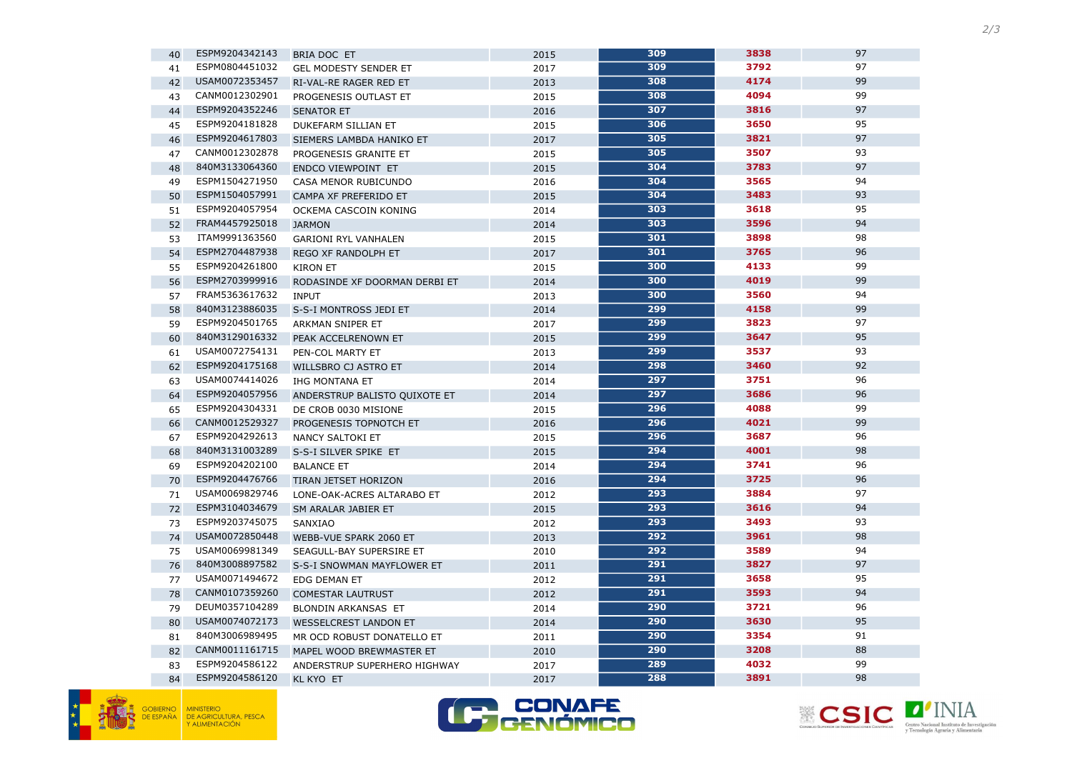





| 40 | ESPM9204342143 | BRIA DOC ET                   | 2015 | 309 | 3838 | 97 |
|----|----------------|-------------------------------|------|-----|------|----|
| 41 | ESPM0804451032 | <b>GEL MODESTY SENDER ET</b>  | 2017 | 309 | 3792 | 97 |
| 42 | USAM0072353457 | RI-VAL-RE RAGER RED ET        | 2013 | 308 | 4174 | 99 |
| 43 | CANM0012302901 | PROGENESIS OUTLAST ET         | 2015 | 308 | 4094 | 99 |
| 44 | ESPM9204352246 | <b>SENATOR ET</b>             | 2016 | 307 | 3816 | 97 |
| 45 | ESPM9204181828 | DUKEFARM SILLIAN ET           | 2015 | 306 | 3650 | 95 |
| 46 | ESPM9204617803 | SIEMERS LAMBDA HANIKO ET      | 2017 | 305 | 3821 | 97 |
| 47 | CANM0012302878 | PROGENESIS GRANITE ET         | 2015 | 305 | 3507 | 93 |
| 48 | 840M3133064360 | <b>ENDCO VIEWPOINT ET</b>     | 2015 | 304 | 3783 | 97 |
| 49 | ESPM1504271950 | CASA MENOR RUBICUNDO          | 2016 | 304 | 3565 | 94 |
| 50 | ESPM1504057991 | CAMPA XF PREFERIDO ET         | 2015 | 304 | 3483 | 93 |
| 51 | ESPM9204057954 | OCKEMA CASCOIN KONING         | 2014 | 303 | 3618 | 95 |
| 52 | FRAM4457925018 | <b>JARMON</b>                 | 2014 | 303 | 3596 | 94 |
| 53 | ITAM9991363560 | <b>GARIONI RYL VANHALEN</b>   | 2015 | 301 | 3898 | 98 |
| 54 | ESPM2704487938 | REGO XF RANDOLPH ET           | 2017 | 301 | 3765 | 96 |
| 55 | ESPM9204261800 | <b>KIRON ET</b>               | 2015 | 300 | 4133 | 99 |
| 56 | ESPM2703999916 | RODASINDE XF DOORMAN DERBI ET | 2014 | 300 | 4019 | 99 |
| 57 | FRAM5363617632 | <b>INPUT</b>                  | 2013 | 300 | 3560 | 94 |
| 58 | 840M3123886035 | S-S-I MONTROSS JEDI ET        | 2014 | 299 | 4158 | 99 |
| 59 | ESPM9204501765 | ARKMAN SNIPER ET              | 2017 | 299 | 3823 | 97 |
| 60 | 840M3129016332 | PEAK ACCELRENOWN ET           | 2015 | 299 | 3647 | 95 |
| 61 | USAM0072754131 | PEN-COL MARTY ET              | 2013 | 299 | 3537 | 93 |
| 62 | ESPM9204175168 | WILLSBRO CJ ASTRO ET          | 2014 | 298 | 3460 | 92 |
| 63 | USAM0074414026 | <b>IHG MONTANA ET</b>         | 2014 | 297 | 3751 | 96 |
| 64 | ESPM9204057956 | ANDERSTRUP BALISTO QUIXOTE ET | 2014 | 297 | 3686 | 96 |
| 65 | ESPM9204304331 | DE CROB 0030 MISIONE          | 2015 | 296 | 4088 | 99 |
| 66 | CANM0012529327 | PROGENESIS TOPNOTCH ET        | 2016 | 296 | 4021 | 99 |
| 67 | ESPM9204292613 | NANCY SALTOKI ET              | 2015 | 296 | 3687 | 96 |
| 68 | 840M3131003289 | S-S-I SILVER SPIKE ET         | 2015 | 294 | 4001 | 98 |
| 69 | ESPM9204202100 | <b>BALANCE ET</b>             | 2014 | 294 | 3741 | 96 |
| 70 | ESPM9204476766 | <b>TIRAN JETSET HORIZON</b>   | 2016 | 294 | 3725 | 96 |
| 71 | USAM0069829746 | LONE-OAK-ACRES ALTARABO ET    | 2012 | 293 | 3884 | 97 |
| 72 | ESPM3104034679 | SM ARALAR JABIER ET           | 2015 | 293 | 3616 | 94 |
| 73 | ESPM9203745075 | SANXIAO                       | 2012 | 293 | 3493 | 93 |
| 74 | USAM0072850448 | WEBB-VUE SPARK 2060 ET        | 2013 | 292 | 3961 | 98 |
| 75 | USAM0069981349 | SEAGULL-BAY SUPERSIRE ET      | 2010 | 292 | 3589 | 94 |
| 76 | 840M3008897582 | S-S-I SNOWMAN MAYFLOWER ET    | 2011 | 291 | 3827 | 97 |
| 77 | USAM0071494672 | EDG DEMAN ET                  | 2012 | 291 | 3658 | 95 |
| 78 | CANM0107359260 | <b>COMESTAR LAUTRUST</b>      | 2012 | 291 | 3593 | 94 |
| 79 | DEUM0357104289 | <b>BLONDIN ARKANSAS ET</b>    | 2014 | 290 | 3721 | 96 |
| 80 | USAM0074072173 | <b>WESSELCREST LANDON ET</b>  | 2014 | 290 | 3630 | 95 |
| 81 | 840M3006989495 | MR OCD ROBUST DONATELLO ET    | 2011 | 290 | 3354 | 91 |
| 82 | CANM0011161715 | MAPEL WOOD BREWMASTER ET      | 2010 | 290 | 3208 | 88 |
| 83 | ESPM9204586122 | ANDERSTRUP SUPERHERO HIGHWAY  | 2017 | 289 | 4032 | 99 |
| 84 | ESPM9204586120 | <b>KL KYO ET</b>              | 2017 | 288 | 3891 | 98 |